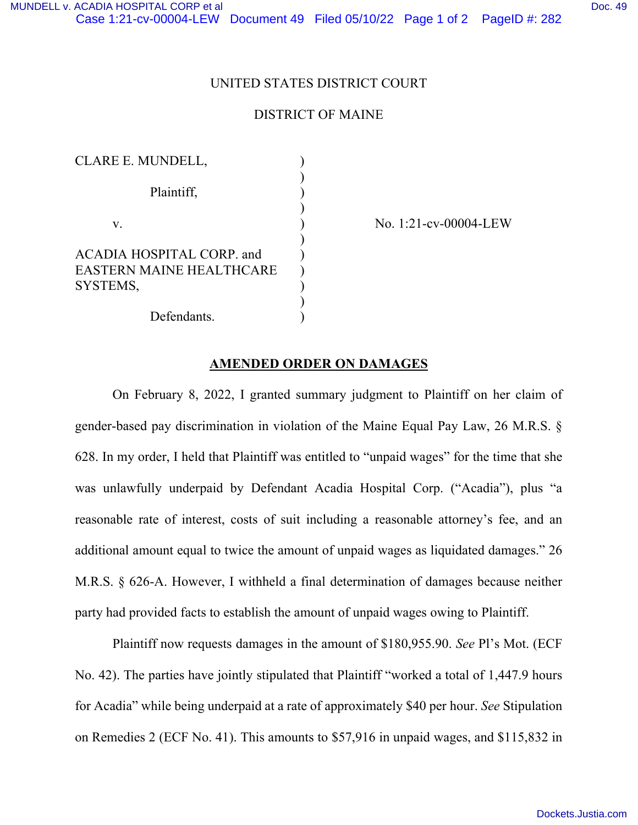## UNITED STATES DISTRICT COURT

## DISTRICT OF MAINE

| <b>CLARE E. MUNDELL,</b>  |  |
|---------------------------|--|
| Plaintiff,                |  |
|                           |  |
| V.                        |  |
| ACADIA HOSPITAL CORP. and |  |
| EASTERN MAINE HEALTHCARE  |  |
| SYSTEMS,                  |  |
|                           |  |
| Defendants.               |  |

No. 1:21-cv-00004-LEW

## **AMENDED ORDER ON DAMAGES**

On February 8, 2022, I granted summary judgment to Plaintiff on her claim of gender-based pay discrimination in violation of the Maine Equal Pay Law, 26 M.R.S. § 628. In my order, I held that Plaintiff was entitled to "unpaid wages" for the time that she was unlawfully underpaid by Defendant Acadia Hospital Corp. ("Acadia"), plus "a reasonable rate of interest, costs of suit including a reasonable attorney's fee, and an additional amount equal to twice the amount of unpaid wages as liquidated damages." 26 M.R.S. § 626-A. However, I withheld a final determination of damages because neither party had provided facts to establish the amount of unpaid wages owing to Plaintiff.

Plaintiff now requests damages in the amount of \$180,955.90. *See* Pl's Mot. (ECF No. 42). The parties have jointly stipulated that Plaintiff "worked a total of 1,447.9 hours for Acadia" while being underpaid at a rate of approximately \$40 per hour. *See* Stipulation on Remedies 2 (ECF No. 41). This amounts to \$57,916 in unpaid wages, and \$115,832 in